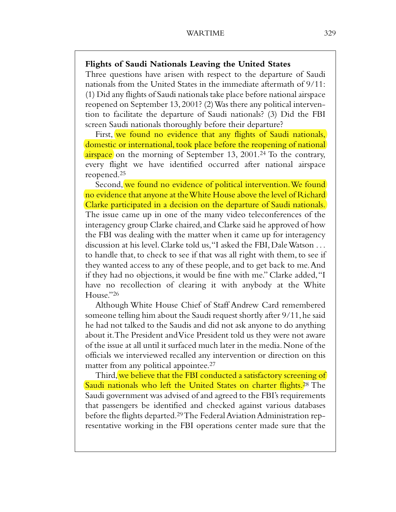## **Flights of Saudi Nationals Leaving the United States**

Three questions have arisen with respect to the departure of Saudi nationals from the United States in the immediate aftermath of 9/11: (1) Did any flights of Saudi nationals take place before national airspace reopened on September 13,2001? (2) Was there any political intervention to facilitate the departure of Saudi nationals? (3) Did the FBI screen Saudi nationals thoroughly before their departure?

First, we found no evidence that any flights of Saudi nationals, domestic or international, took place before the reopening of national airspace on the morning of September 13, 2001.<sup>24</sup> To the contrary, every flight we have identified occurred after national airspace reopened.25

Second, we found no evidence of political intervention. We found no evidence that anyone at the White House above the level of Richard Clarke participated in a decision on the departure of Saudi nationals. The issue came up in one of the many video teleconferences of the interagency group Clarke chaired, and Clarke said he approved of how the FBI was dealing with the matter when it came up for interagency discussion at his level. Clarke told us,"I asked the FBI, Dale Watson . . . to handle that, to check to see if that was all right with them, to see if they wanted access to any of these people, and to get back to me.And if they had no objections, it would be fine with me." Clarke added,"I have no recollection of clearing it with anybody at the White House."26

Although White House Chief of Staff Andrew Card remembered someone telling him about the Saudi request shortly after 9/11, he said he had not talked to the Saudis and did not ask anyone to do anything about it.The President andVice President told us they were not aware of the issue at all until it surfaced much later in the media.None of the officials we interviewed recalled any intervention or direction on this matter from any political appointee.<sup>27</sup>

Third, we believe that the FBI conducted a satisfactory screening of Saudi nationals who left the United States on charter flights.<sup>28</sup> The Saudi government was advised of and agreed to the FBI's requirements that passengers be identified and checked against various databases before the flights departed.29The Federal Aviation Administration representative working in the FBI operations center made sure that the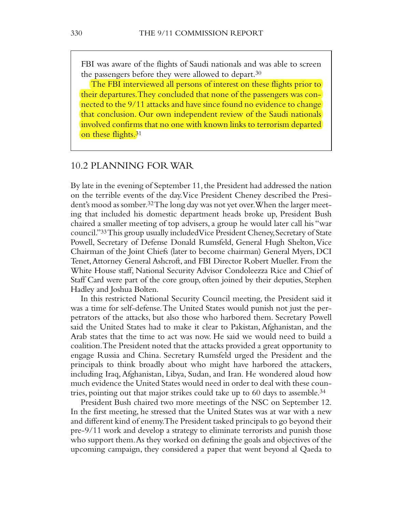FBI was aware of the flights of Saudi nationals and was able to screen the passengers before they were allowed to depart.30

The FBI interviewed all persons of interest on these flights prior to their departures.They concluded that none of the passengers was connected to the 9/11 attacks and have since found no evidence to change that conclusion. Our own independent review of the Saudi nationals involved confirms that no one with known links to terrorism departed on these flights.<sup>31</sup>

## 10.2 PLANNING FOR WAR

By late in the evening of September 11, the President had addressed the nation on the terrible events of the day.Vice President Cheney described the President's mood as somber.32The long day was not yet over.When the larger meeting that included his domestic department heads broke up, President Bush chaired a smaller meeting of top advisers, a group he would later call his "war council."33 This group usually included Vice President Cheney, Secretary of State Powell, Secretary of Defense Donald Rumsfeld, General Hugh Shelton, Vice Chairman of the Joint Chiefs (later to become chairman) General Myers, DCI Tenet,Attorney General Ashcroft, and FBI Director Robert Mueller. From the White House staff, National Security Advisor Condoleezza Rice and Chief of Staff Card were part of the core group, often joined by their deputies, Stephen Hadley and Joshua Bolten.

In this restricted National Security Council meeting, the President said it was a time for self-defense.The United States would punish not just the perpetrators of the attacks, but also those who harbored them. Secretary Powell said the United States had to make it clear to Pakistan, Afghanistan, and the Arab states that the time to act was now. He said we would need to build a coalition.The President noted that the attacks provided a great opportunity to engage Russia and China. Secretary Rumsfeld urged the President and the principals to think broadly about who might have harbored the attackers, including Iraq, Afghanistan, Libya, Sudan, and Iran. He wondered aloud how much evidence the United States would need in order to deal with these countries, pointing out that major strikes could take up to 60 days to assemble.34

President Bush chaired two more meetings of the NSC on September 12. In the first meeting, he stressed that the United States was at war with a new and different kind of enemy.The President tasked principals to go beyond their pre-9/11 work and develop a strategy to eliminate terrorists and punish those who support them.As they worked on defining the goals and objectives of the upcoming campaign, they considered a paper that went beyond al Qaeda to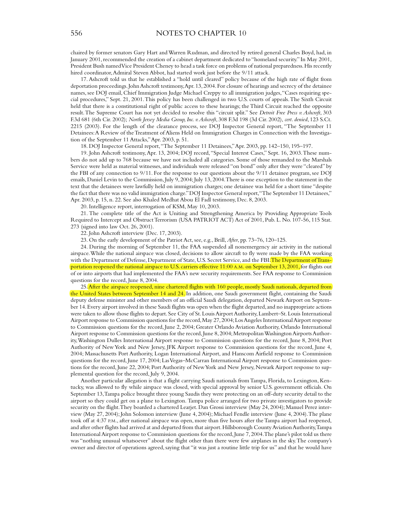chaired by former senators Gary Hart and Warren Rudman, and directed by retired general Charles Boyd, had, in January 2001, recommended the creation of a cabinet department dedicated to "homeland security." In May 2001, President Bush namedVice President Cheney to head a task force on problems of national preparedness.His recently hired coordinator, Admiral Steven Abbot, had started work just before the 9/11 attack.

17. Ashcroft told us that he established a "hold until cleared" policy because of the high rate of flight from deportation proceedings. John Ashcroft testimony, Apr. 13, 2004. For closure of hearings and secrecy of the detainee names, see DOJ email, Chief Immigration Judge Michael Creppy to all immigration judges,"Cases requiring special procedures," Sept. 21, 2001.This policy has been challenged in two U.S. courts of appeals.The Sixth Circuit held that there is a constitutional right of public access to these hearings; the Third Circuit reached the opposite result.The Supreme Court has not yet decided to resolve this "circuit split." See *Detroit Free Press v. Ashcroft*, 303 F.3d 681 (6th Cir. 2002); *North Jersey Media Group, Inc. v.Ashcroft*, 308 F.3d 198 (3d Cir. 2002), *cert. denied*, 123 S.Ct. 2215 (2003). For the length of the clearance process, see DOJ Inspector General report, "The September 11 Detainees:A Review of the Treatment of Aliens Held on Immigration Charges in Connection with the Investigation of the September 11 Attacks,"Apr. 2003, p. 51.

18. DOJ Inspector General report,"The September 11 Detainees,"Apr. 2003, pp. 142–150, 195–197.

19. John Ashcroft testimony,Apr. 13, 2004; DOJ record,"Special Interest Cases," Sept. 16, 2003.These numbers do not add up to 768 because we have not included all categories. Some of those remanded to the Marshals Service were held as material witnesses, and individuals were released "on bond" only after they were "cleared" by the FBI of any connection to 9/11. For the response to our questions about the 9/11 detainee program, see DOJ emails, Daniel Levin to the Commission, July 9, 2004; July 13, 2004.There is one exception to the statement in the text that the detainees were lawfully held on immigration charges; one detainee was held for a short time "despite the fact that there was no valid immigration charge."DOJ Inspector General report,"The September 11 Detainees," Apr. 2003, p. 15, n. 22. See also Khaled Medhat Abou El Fadl testimony, Dec. 8, 2003.

20. Intelligence report, interrogation of KSM, May 10, 2003.

21. The complete title of the Act is Uniting and Strengthening America by Providing Appropriate Tools Required to Intercept and Obstruct Terrorism (USA PATRIOT ACT) Act of 2001, Pub. L. No. 107-56, 115 Stat. 273 (signed into law Oct. 26, 2001).

22. John Ashcroft interview (Dec. 17, 2003).

23. On the early development of the Patriot Act, see, e.g., Brill, *After*, pp. 73–76, 120–125.

24. During the morning of September 11, the FAA suspended all nonemergency air activity in the national airspace.While the national airspace was closed, decisions to allow aircraft to fly were made by the FAA working with the Department of Defense, Department of State, U.S. Secret Service, and the FBI(The Department of Transportation reopened the national airspace to US. carriers effective 11:00 A.M. on September 13, 2001, for flights out of or into airports that had implemented the FAA's new security requirements. See FAA response to Commission questions for the record, June 8, 2004.

25. After the airspace reopened, nine chartered flights with 160 people, mostly Saudi nationals, departed from the United States between September 14 and 24. In addition, one Saudi government flight, containing the Saudi deputy defense minister and other members of an official Saudi delegation, departed Newark Airport on September 14.Every airport involved in these Saudi flights was open when the flight departed,and no inappropriate actions were taken to allow those flights to depart.See City of St.Louis Airport Authority,Lambert–St.Louis International Airport response to Commission questions for the record,May 27,2004;Los Angeles International Airport response to Commission questions for the record, June 2, 2004; Greater Orlando Aviation Authority, Orlando International Airport response to Commission questions for the record, June 8, 2004; Metropolitan Washington Airports Authority,Washington Dulles International Airport response to Commission questions for the record, June 8, 2004; Port Authority of New York and New Jersey, JFK Airport response to Commission questions for the record, June 4, 2004; Massachusetts Port Authority, Logan International Airport, and Hanscom Airfield response to Commission questions for the record, June 17, 2004; Las Vegas–McCarran International Airport response to Commission questions for the record, June 22, 2004; Port Authority of New York and New Jersey, Newark Airport response to supplemental question for the record, July 9, 2004.

Another particular allegation is that a flight carrying Saudi nationals from Tampa, Florida, to Lexington, Kentucky, was allowed to fly while airspace was closed, with special approval by senior U.S. government officials. On September 13,Tampa police brought three young Saudis they were protecting on an off-duty security detail to the airport so they could get on a plane to Lexington. Tampa police arranged for two private investigators to provide security on the flight.They boarded a chartered Learjet. Dan Grossi interview (May 24, 2004); Manuel Perez interview (May 27, 2004); John Solomon interview (June 4, 2004); Michael Fendle interview (June 4, 2004).The plane took off at 4:37 P.M., after national airspace was open, more than five hours after the Tampa airport had reopened, and after other flights had arrived at and departed from that airport.Hillsborough County Aviation Authority,Tampa International Airport response to Commission questions for the record, June 7, 2004.The plane's pilot told us there was "nothing unusual whatsoever" about the flight other than there were few airplanes in the sky.The company's owner and director of operations agreed, saying that "it was just a routine little trip for us" and that he would have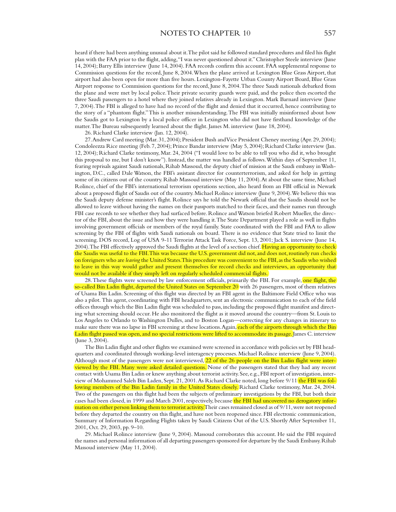heard if there had been anything unusual about it.The pilot said he followed standard procedures and filed his flight plan with the FAA prior to the flight, adding,"I was never questioned about it." Christopher Steele interview (June 14, 2004); Barry Ellis interview (June 14, 2004). FAA records confirm this account. FAA supplemental response to Commission questions for the record, June 8, 2004.When the plane arrived at Lexington Blue Grass Airport, that airport had also been open for more than five hours. Lexington-Fayette Urban County Airport Board, Blue Grass Airport response to Commission questions for the record, June 8, 2004.The three Saudi nationals debarked from the plane and were met by local police.Their private security guards were paid, and the police then escorted the three Saudi passengers to a hotel where they joined relatives already in Lexington. Mark Barnard interview (June 7, 2004).The FBI is alleged to have had no record of the flight and denied that it occurred, hence contributing to the story of a "phantom flight."This is another misunderstanding.The FBI was initially misinformed about how the Saudis got to Lexington by a local police officer in Lexington who did not have firsthand knowledge of the matter.The Bureau subsequently learned about the flight. James M. interview (June 18, 2004).

26. Richard Clarke interview (Jan. 12, 2004).

27. Andrew Card meeting (Mar. 31, 2004); President Bush and Vice President Cheney meeting (Apr. 29, 2004); Condoleezza Rice meeting (Feb. 7, 2004); Prince Bandar interview (May 5, 2004); Richard Clarke interview (Jan. 12, 2004); Richard Clarke testimony, Mar. 24, 2004 ("I would love to be able to tell you who did it, who brought this proposal to me, but I don't know"). Instead, the matter was handled as follows.Within days of September 11, fearing reprisals against Saudi nationals, Rihab Massoud, the deputy chief of mission at the Saudi embassy in Washington, D.C., called Dale Watson, the FBI's assistant director for counterterrorism, and asked for help in getting some of its citizens out of the country. Rihab Massoud interview (May 11, 2004).At about the same time, Michael Rolince, chief of the FBI's international terrorism operations section, also heard from an FBI official in Newark about a proposed flight of Saudis out of the country. Michael Rolince interview (June 9, 2004).We believe this was the Saudi deputy defense minister's flight. Rolince says he told the Newark official that the Saudis should not be allowed to leave without having the names on their passports matched to their faces, and their names run through FBI case records to see whether they had surfaced before. Rolince and Watson briefed Robert Mueller, the director of the FBI, about the issue and how they were handling it.The State Department played a role as well in flights involving government officials or members of the royal family. State coordinated with the FBI and FAA to allow screening by the FBI of flights with Saudi nationals on board. There is no evidence that State tried to limit the screening. DOS record, Log of USA 9-11 Terrorist Attack Task Force, Sept. 13, 2001; Jack S. interview (June 14, 2004). The FBI effectively approved the Saudi flights at the level of a section chief. Having an opportunity to check the Saudis was useful to the FBI.This was because the U.S. government did not, and does not, routinely run checks on foreigners who are *leaving* the United States.This procedure was convenient to the FBI,as the Saudis who wished to leave in this way would gather and present themselves for record checks and interviews, an opportunity that would not be available if they simply left on regularly scheduled commercial flights.

28. These flights were screened by law enforcement officials, primarily the FBI. For example, one flight, the so-called Bin Ladin flight, departed the United States on September 20 with 26 passengers, most of them relatives of Usama Bin Ladin. Screening of this flight was directed by an FBI agent in the Baltimore Field Office who was also a pilot. This agent, coordinating with FBI headquarters, sent an electronic communication to each of the field offices through which the Bin Ladin flight was scheduled to pass, including the proposed flight manifest and directing what screening should occur. He also monitored the flight as it moved around the country—from St. Louis to Los Angeles to Orlando to Washington Dulles, and to Boston Logan—correcting for any changes in itinerary to make sure there was no lapse in FBI screening at these locations. Again, each of the airports through which the Bin) Ladin flight passed was open, and no special restrictions were lifted to accommodate its passage. James C. interview (June 3, 2004).

The Bin Ladin flight and other flights we examined were screened in accordance with policies set by FBI headquarters and coordinated through working-level interagency processes. Michael Rolince interview (June 9, 2004). Although most of the passengers were not interviewed,  $(22)$  of the 26 people on the Bin Ladin flight were interviewed by the FBI. Many were asked detailed questions. None of the passengers stated that they had any recent contact with Usama Bin Ladin or knew anything about terrorist activity. See, e.g., FBI report of investigation, interview of Mohammed Saleh Bin Laden, Sept. 21, 2001. As Richard Clarke noted, long before 9/11 (the FBI was fol-) lowing members of the Bin Ladin family in the United States closely. Richard Clarke testimony, Mar. 24, 2004. Two of the passengers on this flight had been the subjects of preliminary investigations by the FBI, but both their cases had been closed, in 1999 and March 2001, respectively, because the FBI had uncovered no derogatory information on either person linking them to terrorist activity. Their cases remained closed as of 9/11, were not reopened before they departed the country on this flight, and have not been reopened since. FBI electronic communication, Summary of Information Regarding Flights taken by Saudi Citizens Out of the U.S. Shortly After September 11, 2001, Oct. 29, 2003, pp. 9–10.

29. Michael Rolince interview (June 9, 2004). Massoud corroborates this account. He said the FBI required the names and personal information of all departing passengers sponsored for departure by the Saudi Embassy.Rihab Massoud interview (May 11, 2004).